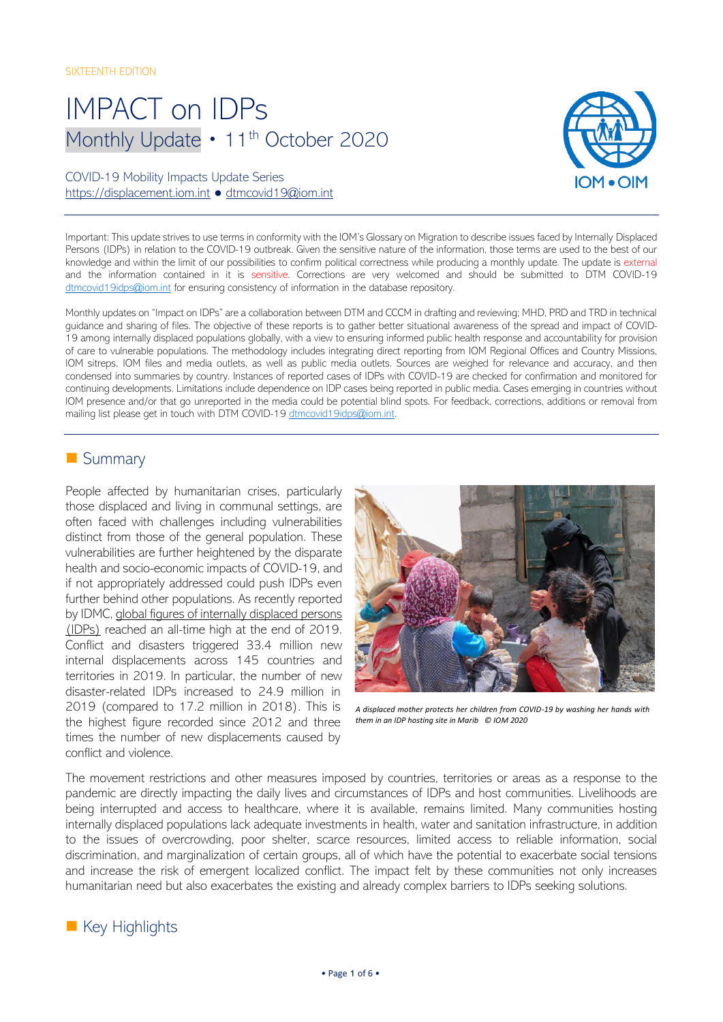# IMPACT on IDPs Monthly Update • 11<sup>th</sup> October 2020

## COVID-19 Mobility Impacts Update Series [https://displacement.iom.int](https://displacement.iom.int/) ● [dtmcovid19@iom.int](mailto:dtmcovid19@iom.int)



Important: This update strives to use terms in conformity with the IOM's Glossary on Migration to describe issues faced by Internally Displaced Persons (IDPs) in relation to the COVID-19 outbreak. Given the sensitive nature of the information, those terms are used to the best of our knowledge and within the limit of our possibilities to confirm political correctness while producing a monthly update. The update is external and the information contained in it is sensitive. Corrections are very welcomed and should be submitted to DTM COVID-19 [dtmcovid19idps@iom.int](mailto:dtmcovid19idps@iom.int) for ensuring consistency of information in the database repository.

Monthly updates on "Impact on IDPs" are a collaboration between DTM and CCCM in drafting and reviewing; MHD, PRD and TRD in technical guidance and sharing of files. The objective of these reports is to gather better situational awareness of the spread and impact of COVID-19 among internally displaced populations globally, with a view to ensuring informed public health response and accountability for provision of care to vulnerable populations. The methodology includes integrating direct reporting from IOM Regional Offices and Country Missions, IOM sitreps, IOM files and media outlets, as well as public media outlets. Sources are weighed for relevance and accuracy, and then condensed into summaries by country. Instances of reported cases of IDPs with COVID-19 are checked for confirmation and monitored for continuing developments. Limitations include dependence on IDP cases being reported in public media. Cases emerging in countries without IOM presence and/or that go unreported in the media could be potential blind spots. For feedback, corrections, additions or removal from mailing list please get in touch with DTM COVID-19 [dtmcovid19idps@iom.int.](mailto:dtmcovid19idps@iom.int)

## ■ Summary

People affected by humanitarian crises, particularly those displaced and living in communal settings, are often faced with challenges including vulnerabilities distinct from those of the general population. These vulnerabilities are further heightened by the disparate health and socio-economic impacts of COVID-19, and if not appropriately addressed could push IDPs even further behind other populations. As recently reported by IDMC[, global figures of internally displaced persons](https://www.internal-displacement.org/global-report/grid2020/)  [\(IDPs\)](https://www.internal-displacement.org/global-report/grid2020/) reached an all-time high at the end of 2019. Conflict and disasters triggered 33.4 million new internal displacements across 145 countries and territories in 2019. In particular, the number of new disaster-related IDPs increased to 24.9 million in 2019 (compared to 17.2 million in 2018). This is the highest figure recorded since 2012 and three times the number of new displacements caused by conflict and violence.



*A displaced mother protects her children from COVID-19 by washing her hands with them in an IDP hosting site in Marib © IOM 2020* 

The movement restrictions and other measures imposed by countries, territories or areas as a response to the pandemic are directly impacting the daily lives and circumstances of IDPs and host communities. Livelihoods are being interrupted and access to healthcare, where it is available, remains limited. Many communities hosting internally displaced populations lack adequate investments in health, water and sanitation infrastructure, in addition to the issues of overcrowding, poor shelter, scarce resources, limited access to reliable information, social discrimination, and marginalization of certain groups, all of which have the potential to exacerbate social tensions and increase the risk of emergent localized conflict. The impact felt by these communities not only increases humanitarian need but also exacerbates the existing and already complex barriers to IDPs seeking solutions.

# ■ Key Highlights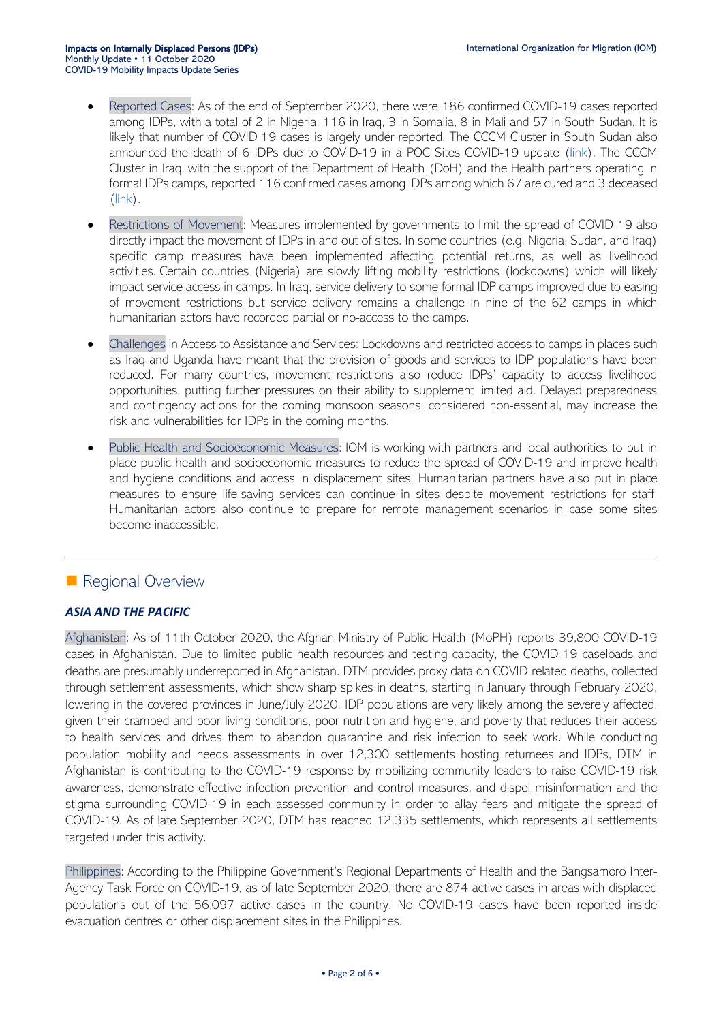- Reported Cases: As of the end of September 2020, there were 186 confirmed COVID-19 cases reported among IDPs, with a total of 2 in Nigeria, 116 in Iraq, 3 in Somalia, 8 in Mali and 57 in South Sudan. It is likely that number of COVID-19 cases is largely under-reported. The CCCM Cluster in South Sudan also announced the death of 6 IDPs due to COVID-19 in a POC Sites COVID-19 update [\(link\)](https://www.humanitarianresponse.info/en/op%C3%A9rations/south-sudan/infographic/20200917-cccm-cluster-poc-sites-covid-19-update-8). The CCCM Cluster in Iraq, with the support of the Department of Health (DoH) and the Health partners operating in formal IDPs camps, reported 116 confirmed cases among IDPs among which 67 are cured and 3 deceased  $(\mathsf{link})$ .
- Restrictions of Movement: Measures implemented by governments to limit the spread of COVID-19 also directly impact the movement of IDPs in and out of sites. In some countries (e.g. Nigeria, Sudan, and Iraq) specific camp measures have been implemented affecting potential returns, as well as livelihood activities. Certain countries (Nigeria) are slowly lifting mobility restrictions (lockdowns) which will likely impact service access in camps. In Iraq, service delivery to some formal IDP camps improved due to easing of movement restrictions but service delivery remains a challenge in nine of the 62 camps in which humanitarian actors have recorded partial or no-access to the camps.
- Challenges in Access to Assistance and Services: Lockdowns and restricted access to camps in places such as Iraq and Uganda have meant that the provision of goods and services to IDP populations have been reduced. For many countries, movement restrictions also reduce IDPs' capacity to access livelihood opportunities, putting further pressures on their ability to supplement limited aid. Delayed preparedness and contingency actions for the coming monsoon seasons, considered non-essential, may increase the risk and vulnerabilities for IDPs in the coming months.
- Public Health and Socioeconomic Measures: IOM is working with partners and local authorities to put in place public health and socioeconomic measures to reduce the spread of COVID-19 and improve health and hygiene conditions and access in displacement sites. Humanitarian partners have also put in place measures to ensure life-saving services can continue in sites despite movement restrictions for staff. Humanitarian actors also continue to prepare for remote management scenarios in case some sites become inaccessible.

## ■ Regional Overview

## *ASIA AND THE PACIFIC*

Afghanistan: As of 11th October 2020, the Afghan Ministry of Public Health (MoPH) reports 39,800 COVID-19 cases in Afghanistan. Due to limited public health resources and testing capacity, the COVID-19 caseloads and deaths are presumably underreported in Afghanistan. DTM provides proxy data on COVID-related deaths, collected through settlement assessments, which show sharp spikes in deaths, starting in January through February 2020, lowering in the covered provinces in June/July 2020. IDP populations are very likely among the severely affected, given their cramped and poor living conditions, poor nutrition and hygiene, and poverty that reduces their access to health services and drives them to abandon quarantine and risk infection to seek work. While conducting population mobility and needs assessments in over 12,300 settlements hosting returnees and IDPs, DTM in Afghanistan is contributing to the COVID-19 response by mobilizing community leaders to raise COVID-19 risk awareness, demonstrate effective infection prevention and control measures, and dispel misinformation and the stigma surrounding COVID-19 in each assessed community in order to allay fears and mitigate the spread of COVID-19. As of late September 2020, DTM has reached 12,335 settlements, which represents all settlements targeted under this activity.

Philippines: According to the Philippine Government's Regional Departments of Health and the Bangsamoro Inter-Agency Task Force on COVID-19, as of late September 2020, there are 874 active cases in areas with displaced populations out of the 56,097 active cases in the country. No COVID-19 cases have been reported inside evacuation centres or other displacement sites in the Philippines.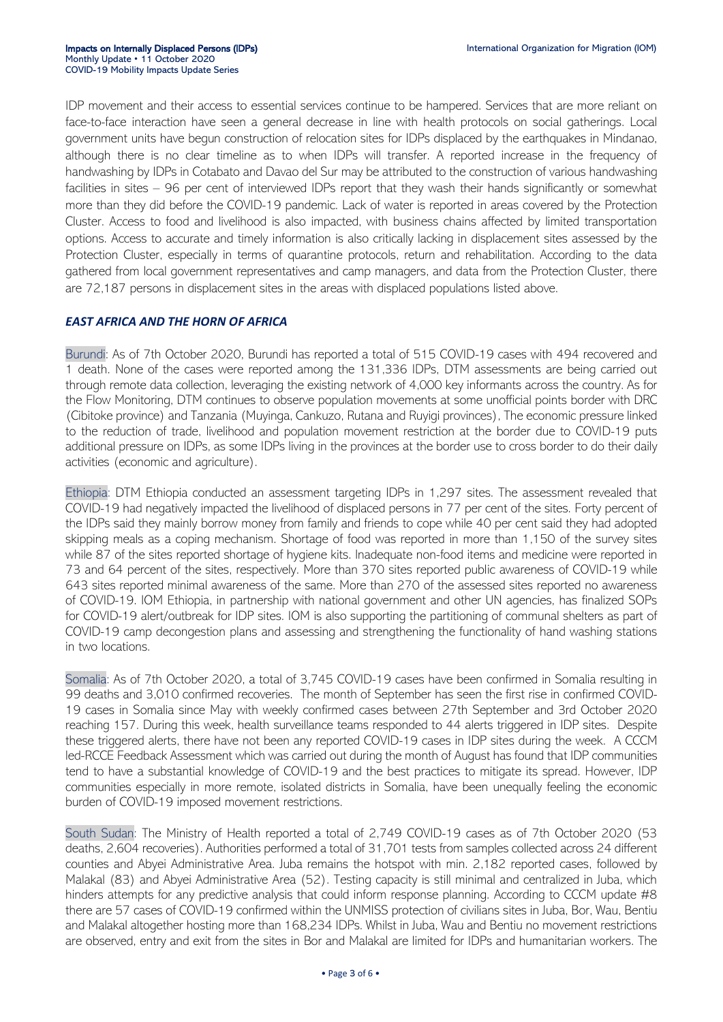IDP movement and their access to essential services continue to be hampered. Services that are more reliant on face-to-face interaction have seen a general decrease in line with health protocols on social gatherings. Local government units have begun construction of relocation sites for IDPs displaced by the earthquakes in Mindanao, although there is no clear timeline as to when IDPs will transfer. A reported increase in the frequency of handwashing by IDPs in Cotabato and Davao del Sur may be attributed to the construction of various handwashing facilities in sites – 96 per cent of interviewed IDPs report that they wash their hands significantly or somewhat more than they did before the COVID-19 pandemic. Lack of water is reported in areas covered by the Protection Cluster. Access to food and livelihood is also impacted, with business chains affected by limited transportation options. Access to accurate and timely information is also critically lacking in displacement sites assessed by the Protection Cluster, especially in terms of quarantine protocols, return and rehabilitation. According to the data gathered from local government representatives and camp managers, and data from the Protection Cluster, there are 72,187 persons in displacement sites in the areas with displaced populations listed above.

#### *EAST AFRICA AND THE HORN OF AFRICA*

Burundi: As of 7th October 2020, Burundi has reported a total of 515 COVID-19 cases with 494 recovered and 1 death. None of the cases were reported among the 131,336 IDPs, DTM assessments are being carried out through remote data collection, leveraging the existing network of 4,000 key informants across the country. As for the Flow Monitoring, DTM continues to observe population movements at some unofficial points border with DRC (Cibitoke province) and Tanzania (Muyinga, Cankuzo, Rutana and Ruyigi provinces), The economic pressure linked to the reduction of trade, livelihood and population movement restriction at the border due to COVID-19 puts additional pressure on IDPs, as some IDPs living in the provinces at the border use to cross border to do their daily activities (economic and agriculture).

Ethiopia: DTM Ethiopia conducted an assessment targeting IDPs in 1,297 sites. The assessment revealed that COVID-19 had negatively impacted the livelihood of displaced persons in 77 per cent of the sites. Forty percent of the IDPs said they mainly borrow money from family and friends to cope while 40 per cent said they had adopted skipping meals as a coping mechanism. Shortage of food was reported in more than 1,150 of the survey sites while 87 of the sites reported shortage of hygiene kits. Inadequate non-food items and medicine were reported in 73 and 64 percent of the sites, respectively. More than 370 sites reported public awareness of COVID-19 while 643 sites reported minimal awareness of the same. More than 270 of the assessed sites reported no awareness of COVID-19. IOM Ethiopia, in partnership with national government and other UN agencies, has finalized SOPs for COVID-19 alert/outbreak for IDP sites. IOM is also supporting the partitioning of communal shelters as part of COVID-19 camp decongestion plans and assessing and strengthening the functionality of hand washing stations in two locations.

Somalia: As of 7th October 2020, a total of 3,745 COVID-19 cases have been confirmed in Somalia resulting in 99 deaths and 3,010 confirmed recoveries. The month of September has seen the first rise in confirmed COVID-19 cases in Somalia since May with weekly confirmed cases between 27th September and 3rd October 2020 reaching 157. During this week, health surveillance teams responded to 44 alerts triggered in IDP sites. Despite these triggered alerts, there have not been any reported COVID-19 cases in IDP sites during the week. A CCCM led-RCCE Feedback Assessment which was carried out during the month of August has found that IDP communities tend to have a substantial knowledge of COVID-19 and the best practices to mitigate its spread. However, IDP communities especially in more remote, isolated districts in Somalia, have been unequally feeling the economic burden of COVID-19 imposed movement restrictions.

South Sudan: The Ministry of Health reported a total of 2,749 COVID-19 cases as of 7th October 2020 (53 deaths, 2,604 recoveries). Authorities performed a total of 31,701 tests from samples collected across 24 different counties and Abyei Administrative Area. Juba remains the hotspot with min. 2,182 reported cases, followed by Malakal (83) and Abyei Administrative Area (52). Testing capacity is still minimal and centralized in Juba, which hinders attempts for any predictive analysis that could inform response planning. According to CCCM update #8 there are 57 cases of COVID-19 confirmed within the UNMISS protection of civilians sites in Juba, Bor, Wau, Bentiu and Malakal altogether hosting more than 168,234 IDPs. Whilst in Juba, Wau and Bentiu no movement restrictions are observed, entry and exit from the sites in Bor and Malakal are limited for IDPs and humanitarian workers. The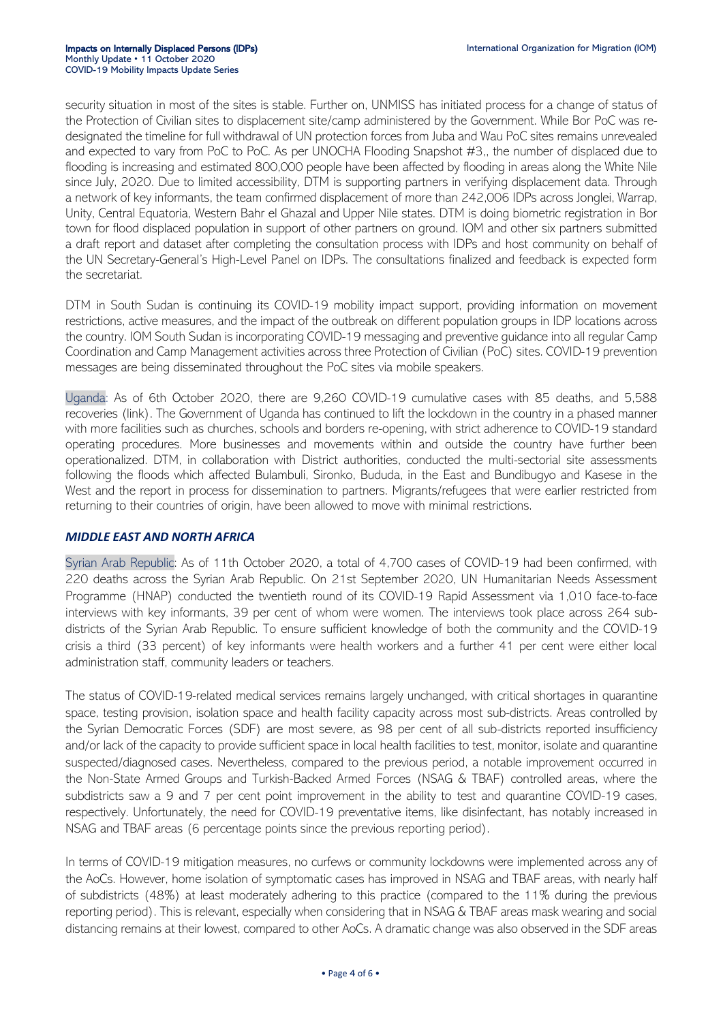security situation in most of the sites is stable. Further on, UNMISS has initiated process for a change of status of the Protection of Civilian sites to displacement site/camp administered by the Government. While Bor PoC was redesignated the timeline for full withdrawal of UN protection forces from Juba and Wau PoC sites remains unrevealed and expected to vary from PoC to PoC. As per UNOCHA Flooding Snapshot #3,, the number of displaced due to flooding is increasing and estimated 800,000 people have been affected by flooding in areas along the White Nile since July, 2020. Due to limited accessibility, DTM is supporting partners in verifying displacement data. Through a network of key informants, the team confirmed displacement of more than 242,006 IDPs across Jonglei, Warrap, Unity, Central Equatoria, Western Bahr el Ghazal and Upper Nile states. DTM is doing biometric registration in Bor town for flood displaced population in support of other partners on ground. IOM and other six partners submitted a draft report and dataset after completing the consultation process with IDPs and host community on behalf of the UN Secretary-General's High-Level Panel on IDPs. The consultations finalized and feedback is expected form the secretariat.

DTM in South Sudan is continuing its COVID-19 mobility impact support, providing information on movement restrictions, active measures, and the impact of the outbreak on different population groups in IDP locations across the country. IOM South Sudan is incorporating COVID-19 messaging and preventive guidance into all regular Camp Coordination and Camp Management activities across three Protection of Civilian (PoC) sites. COVID-19 prevention messages are being disseminated throughout the PoC sites via mobile speakers.

Uganda: As of 6th October 2020, there are 9,260 COVID-19 cumulative cases with 85 deaths, and 5,588 recoveries (link). The Government of Uganda has continued to lift the lockdown in the country in a phased manner with more facilities such as churches, schools and borders re-opening, with strict adherence to COVID-19 standard operating procedures. More businesses and movements within and outside the country have further been operationalized. DTM, in collaboration with District authorities, conducted the multi-sectorial site assessments following the floods which affected Bulambuli, Sironko, Bududa, in the East and Bundibugyo and Kasese in the West and the report in process for dissemination to partners. Migrants/refugees that were earlier restricted from returning to their countries of origin, have been allowed to move with minimal restrictions.

#### *MIDDLE EAST AND NORTH AFRICA*

Syrian Arab Republic: As of 11th October 2020, a total of 4,700 cases of COVID-19 had been confirmed, with 220 deaths across the Syrian Arab Republic. On 21st September 2020, UN Humanitarian Needs Assessment Programme (HNAP) conducted the twentieth round of its COVID-19 Rapid Assessment via 1,010 face-to-face interviews with key informants, 39 per cent of whom were women. The interviews took place across 264 subdistricts of the Syrian Arab Republic. To ensure sufficient knowledge of both the community and the COVID-19 crisis a third (33 percent) of key informants were health workers and a further 41 per cent were either local administration staff, community leaders or teachers.

The status of COVID-19-related medical services remains largely unchanged, with critical shortages in quarantine space, testing provision, isolation space and health facility capacity across most sub-districts. Areas controlled by the Syrian Democratic Forces (SDF) are most severe, as 98 per cent of all sub-districts reported insufficiency and/or lack of the capacity to provide sufficient space in local health facilities to test, monitor, isolate and quarantine suspected/diagnosed cases. Nevertheless, compared to the previous period, a notable improvement occurred in the Non-State Armed Groups and Turkish-Backed Armed Forces (NSAG & TBAF) controlled areas, where the subdistricts saw a 9 and 7 per cent point improvement in the ability to test and quarantine COVID-19 cases, respectively. Unfortunately, the need for COVID-19 preventative items, like disinfectant, has notably increased in NSAG and TBAF areas (6 percentage points since the previous reporting period).

In terms of COVID-19 mitigation measures, no curfews or community lockdowns were implemented across any of the AoCs. However, home isolation of symptomatic cases has improved in NSAG and TBAF areas, with nearly half of subdistricts (48%) at least moderately adhering to this practice (compared to the 11% during the previous reporting period). This is relevant, especially when considering that in NSAG & TBAF areas mask wearing and social distancing remains at their lowest, compared to other AoCs. A dramatic change was also observed in the SDF areas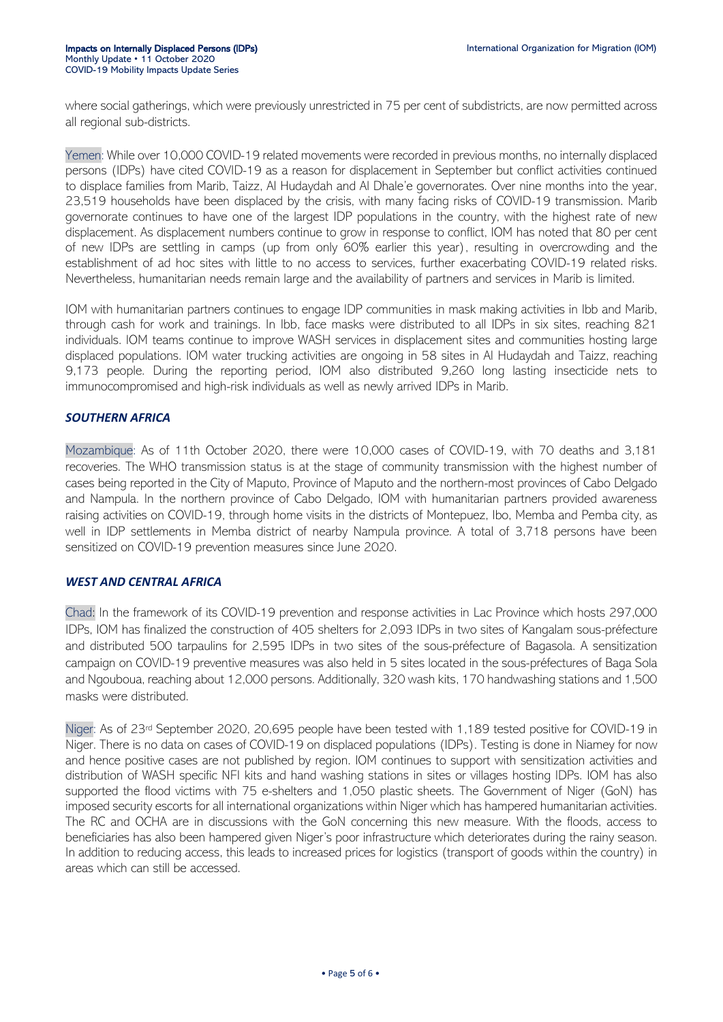where social gatherings, which were previously unrestricted in 75 per cent of subdistricts, are now permitted across all regional sub-districts.

Yemen: While over 10,000 COVID-19 related movements were recorded in previous months, no internally displaced persons (IDPs) have cited COVID-19 as a reason for displacement in September but conflict activities continued to displace families from Marib, Taizz, Al Hudaydah and Al Dhale'e governorates. Over nine months into the year, 23,519 households have been displaced by the crisis, with many facing risks of COVID-19 transmission. Marib governorate continues to have one of the largest IDP populations in the country, with the highest rate of new displacement. As displacement numbers continue to grow in response to conflict, IOM has noted that 80 per cent of new IDPs are settling in camps (up from only 60% earlier this year), resulting in overcrowding and the establishment of ad hoc sites with little to no access to services, further exacerbating COVID-19 related risks. Nevertheless, humanitarian needs remain large and the availability of partners and services in Marib is limited.

IOM with humanitarian partners continues to engage IDP communities in mask making activities in Ibb and Marib, through cash for work and trainings. In Ibb, face masks were distributed to all IDPs in six sites, reaching 821 individuals. IOM teams continue to improve WASH services in displacement sites and communities hosting large displaced populations. IOM water trucking activities are ongoing in 58 sites in Al Hudaydah and Taizz, reaching 9,173 people. During the reporting period, IOM also distributed 9,260 long lasting insecticide nets to immunocompromised and high-risk individuals as well as newly arrived IDPs in Marib.

#### *SOUTHERN AFRICA*

Mozambique: As of 11th October 2020, there were 10,000 cases of COVID-19, with 70 deaths and 3,181 recoveries. The WHO transmission status is at the stage of community transmission with the highest number of cases being reported in the City of Maputo, Province of Maputo and the northern-most provinces of Cabo Delgado and Nampula. In the northern province of Cabo Delgado, IOM with humanitarian partners provided awareness raising activities on COVID-19, through home visits in the districts of Montepuez, Ibo, Memba and Pemba city, as well in IDP settlements in Memba district of nearby Nampula province. A total of 3,718 persons have been sensitized on COVID-19 prevention measures since June 2020.

#### *WEST AND CENTRAL AFRICA*

Chad: In the framework of its COVID-19 prevention and response activities in Lac Province which hosts 297,000 IDPs, IOM has finalized the construction of 405 shelters for 2,093 IDPs in two sites of Kangalam sous-préfecture and distributed 500 tarpaulins for 2,595 IDPs in two sites of the sous-préfecture of Bagasola. A sensitization campaign on COVID-19 preventive measures was also held in 5 sites located in the sous-préfectures of Baga Sola and Ngouboua, reaching about 12,000 persons. Additionally, 320 wash kits, 170 handwashing stations and 1,500 masks were distributed.

Niger: As of 23rd September 2020, 20,695 people have been tested with 1,189 tested positive for COVID-19 in Niger. There is no data on cases of COVID-19 on displaced populations (IDPs). Testing is done in Niamey for now and hence positive cases are not published by region. IOM continues to support with sensitization activities and distribution of WASH specific NFI kits and hand washing stations in sites or villages hosting IDPs. IOM has also supported the flood victims with 75 e-shelters and 1,050 plastic sheets. The Government of Niger (GoN) has imposed security escorts for all international organizations within Niger which has hampered humanitarian activities. The RC and OCHA are in discussions with the GoN concerning this new measure. With the floods, access to beneficiaries has also been hampered given Niger's poor infrastructure which deteriorates during the rainy season. In addition to reducing access, this leads to increased prices for logistics (transport of goods within the country) in areas which can still be accessed.